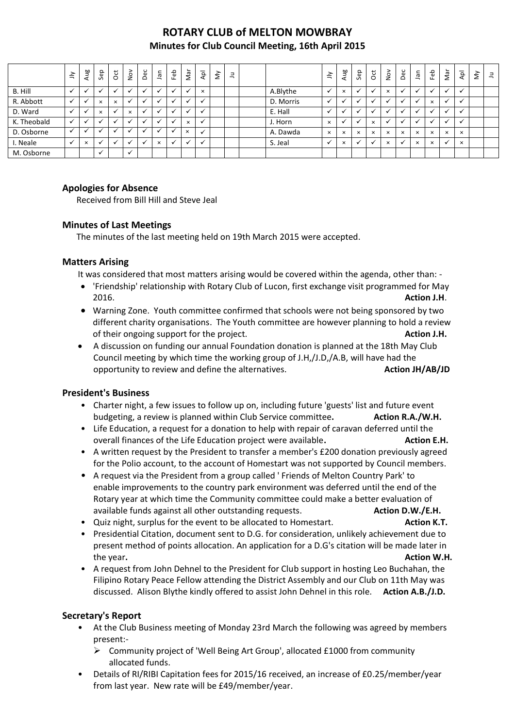# **ROTARY CLUB of MELTON MOWBRAY Minutes for Club Council Meeting, 16th April 2015**

|             | $\leq$       | Aug          | Sep                  | ö            | $\frac{5}{2}$        | Dec     | nel.           | Feb     | Nar               | $\overline{\mathsf{Q}}$  | $\check{\varepsilon}$ | $\exists$ |           | ≧            | Aug      | Sep      | $\overline{c}$ | $\sum_{i=1}^{\infty}$ | Dec          | ۹Ē       | Feb      | Nar          | $\overline{P}$       | $\check{\varepsilon}$ | $\equiv$ |
|-------------|--------------|--------------|----------------------|--------------|----------------------|---------|----------------|---------|-------------------|--------------------------|-----------------------|-----------|-----------|--------------|----------|----------|----------------|-----------------------|--------------|----------|----------|--------------|----------------------|-----------------------|----------|
| B. Hill     |              |              |                      |              |                      |         |                |         |                   | $\times$                 |                       |           | A.Blythe  |              | $\times$ |          |                | $\times$              |              |          |          |              | $\ddot{\phantom{0}}$ |                       |          |
| R. Abbott   | $\checkmark$ | $\checkmark$ | $\times$             | $\times$     |                      | $\cdot$ | $\cdot$        | $\cdot$ |                   | $\checkmark$             |                       |           | D. Morris | $\checkmark$ |          |          |                |                       |              |          | $\times$ | $\checkmark$ | $\checkmark$         |                       |          |
| D. Ward     | $\checkmark$ | $\checkmark$ | $\times$             |              | $\times$             |         | $\cdot$        | $\cdot$ |                   | $\overline{\phantom{a}}$ |                       |           | E. Hall   |              |          |          |                |                       | $\check{ }$  |          | $\cdot$  | $\checkmark$ | $\ddot{\phantom{0}}$ |                       |          |
| K. Theobald | $\checkmark$ |              |                      |              |                      |         | $\overline{ }$ | $\cdot$ | $\times$          |                          |                       |           | J. Horn   | $\times$     |          |          | $\times$       |                       | $\check{ }$  |          |          | $\checkmark$ | $\ddot{\phantom{0}}$ |                       |          |
| D. Osborne  |              |              |                      |              |                      |         |                |         | $\checkmark$<br>ᄎ |                          |                       |           | A. Dawda  | $\times$     | $\times$ | $\times$ | $\times$       | $\times$              | $\times$     | $\times$ | $\times$ | $\times$     | $\times$             |                       |          |
| I. Neale    | $\checkmark$ | $\times$     | $\ddot{\phantom{0}}$ | $\checkmark$ |                      |         | $\times$       | $\cdot$ |                   | $\overline{\phantom{a}}$ |                       |           | S. Jeal   | $\checkmark$ | $\times$ |          |                | $\times$              | $\checkmark$ | $\times$ | $\times$ | $\checkmark$ | $\times$             |                       |          |
| M. Osborne  |              |              | $\checkmark$         |              | $\ddot{\phantom{0}}$ |         |                |         |                   |                          |                       |           |           |              |          |          |                |                       |              |          |          |              |                      |                       |          |

### **Apologies for Absence**

Received from Bill Hill and Steve Jeal

### **Minutes of Last Meetings**

The minutes of the last meeting held on 19th March 2015 were accepted.

### **Matters Arising**

It was considered that most matters arising would be covered within the agenda, other than: -

- 'Friendship' relationship with Rotary Club of Lucon, first exchange visit programmed for May 2016. **Action J.H**.
- Warning Zone. Youth committee confirmed that schools were not being sponsored by two different charity organisations. The Youth committee are however planning to hold a review of their ongoing support for the project. **Action J.H.**
- A discussion on funding our annual Foundation donation is planned at the 18th May Club Council meeting by which time the working group of J.H,/J.D,/A.B, will have had the opportunity to review and define the alternatives. **Action JH/AB/JD**

### **President's Business**

- Charter night, a few issues to follow up on, including future 'guests' list and future event budgeting, a review is planned within Club Service committee**. Action R.A./W.H.**
- Life Education, a request for a donation to help with repair of caravan deferred until the overall finances of the Life Education project were available. **Action E.H.** Action E.H.
- A written request by the President to transfer a member's £200 donation previously agreed for the Polio account, to the account of Homestart was not supported by Council members.
- A request via the President from a group called ' Friends of Melton Country Park' to enable improvements to the country park environment was deferred until the end of the Rotary year at which time the Community committee could make a better evaluation of available funds against all other outstanding requests. **Action D.W./E.H.**
- Quiz night, surplus for the event to be allocated to Homestart. **Action K.T.**
- Presidential Citation, document sent to D.G. for consideration, unlikely achievement due to present method of points allocation. An application for a D.G's citation will be made later in the year. **Action W.H. Action W.H. Action W.H. Action W.H. Action W.H.**
- A request from John Dehnel to the President for Club support in hosting Leo Buchahan, the Filipino Rotary Peace Fellow attending the District Assembly and our Club on 11th May was discussed. Alison Blythe kindly offered to assist John Dehnel in this role. **Action A.B./J.D.**

## **Secretary's Report**

- At the Club Business meeting of Monday 23rd March the following was agreed by members present:-
	- Community project of 'Well Being Art Group', allocated £1000 from community allocated funds.
- Details of RI/RIBI Capitation fees for 2015/16 received, an increase of £0.25/member/year from last year. New rate will be £49/member/year.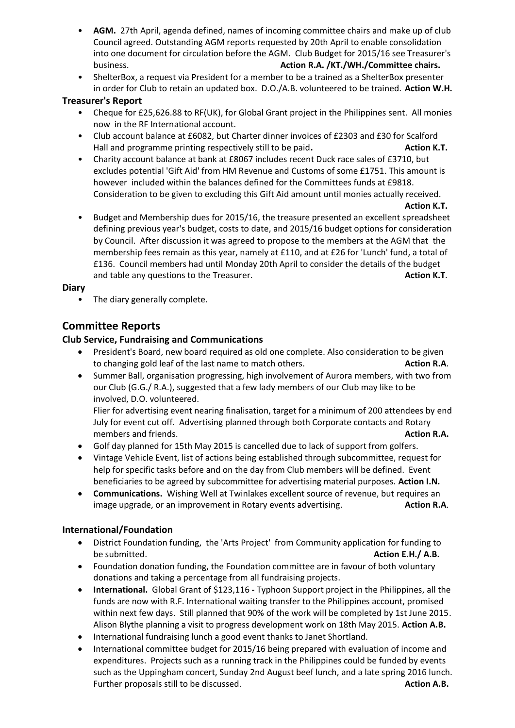- **AGM.** 27th April, agenda defined, names of incoming committee chairs and make up of club Council agreed. Outstanding AGM reports requested by 20th April to enable consolidation into one document for circulation before the AGM. Club Budget for 2015/16 see Treasurer's business. **Action R.A. /KT./WH./Committee chairs.**
- ShelterBox, a request via President for a member to be a trained as a ShelterBox presenter in order for Club to retain an updated box. D.O./A.B. volunteered to be trained. **Action W.H.**

### **Treasurer's Report**

- Cheque for £25,626.88 to RF(UK), for Global Grant project in the Philippines sent. All monies now in the RF International account.
- Club account balance at £6082, but Charter dinner invoices of £2303 and £30 for Scalford Hall and programme printing respectively still to be paid. Action K.T.
- Charity account balance at bank at £8067 includes recent Duck race sales of £3710, but excludes potential 'Gift Aid' from HM Revenue and Customs of some £1751. This amount is however included within the balances defined for the Committees funds at £9818. Consideration to be given to excluding this Gift Aid amount until monies actually received.

#### **Action K.T.**

• Budget and Membership dues for 2015/16, the treasure presented an excellent spreadsheet defining previous year's budget, costs to date, and 2015/16 budget options for consideration by Council. After discussion it was agreed to propose to the members at the AGM that the membership fees remain as this year, namely at £110, and at £26 for 'Lunch' fund, a total of £136. Council members had until Monday 20th April to consider the details of the budget and table any questions to the Treasurer. **Action K.T. Action K.T. Action K.T.** 

### **Diary**

• The diary generally complete.

# **Committee Reports**

### **Club Service, Fundraising and Communications**

- President's Board, new board required as old one complete. Also consideration to be given to changing gold leaf of the last name to match others. **Action R.A.**
- Summer Ball, organisation progressing, high involvement of Aurora members, with two from our Club (G.G./ R.A.), suggested that a few lady members of our Club may like to be involved, D.O. volunteered.

Flier for advertising event nearing finalisation, target for a minimum of 200 attendees by end July for event cut off. Advertising planned through both Corporate contacts and Rotary members and friends. **Action R.A. Action R.A. Action R.A. Action R.A.** 

- Golf day planned for 15th May 2015 is cancelled due to lack of support from golfers.
- Vintage Vehicle Event, list of actions being established through subcommittee, request for help for specific tasks before and on the day from Club members will be defined. Event beneficiaries to be agreed by subcommittee for advertising material purposes. **Action I.N.**
- **Communications.** Wishing Well at Twinlakes excellent source of revenue, but requires an image upgrade, or an improvement in Rotary events advertising. **Action R.A.**

### **International/Foundation**

- District Foundation funding, the 'Arts Project' from Community application for funding to be submitted. **Action E.H./ A.B.**
- Foundation donation funding, the Foundation committee are in favour of both voluntary donations and taking a percentage from all fundraising projects.
- **International.** Global Grant of \$123,116 **-** Typhoon Support project in the Philippines, all the funds are now with R.F. International waiting transfer to the Philippines account, promised within next few days. Still planned that 90% of the work will be completed by 1st June 2015. Alison Blythe planning a visit to progress development work on 18th May 2015. **Action A.B.**
- International fundraising lunch a good event thanks to Janet Shortland.
- International committee budget for 2015/16 being prepared with evaluation of income and expenditures. Projects such as a running track in the Philippines could be funded by events such as the Uppingham concert, Sunday 2nd August beef lunch, and a late spring 2016 lunch. Further proposals still to be discussed. **Action A.B. Action A.B. Action A.B.**